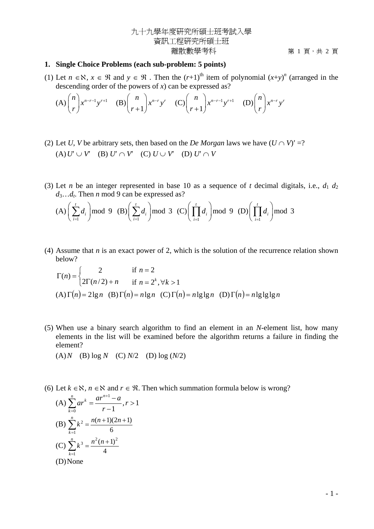## 九十九學年度研究所碩士班考試入學 資訊工程研究所碩士班 離散數學考科 第 1 頁,共 2 頁

## **1. Single Choice Problems (each sub-problem: 5 points)**

- (1) Let  $n \in \mathbb{N}$ ,  $x \in \mathbb{R}$  and  $y \in \mathbb{R}$ . Then the  $(r+1)^{th}$  item of polynomial  $(x+y)^n$  (arranged in the descending order of the powers of *x*) can be expressed as?
	- $(A)$ <sup> $\binom{n}{x^{n-r-1}y^{r+1}}$ </sup>  $\binom{n}{r} x^{n-r-1} y^{r+1}$  (B)  $\binom{n}{r+1}$  $\int x^{n-r} y^r$  $\binom{n}{r+1} x^{n-r} y^r$   $\n(C) \binom{n}{r+1} x^{n-r-1} y^{r+1}$ 1  $\binom{n}{x}$   $x^{n-r-1}y^r$  $\binom{n}{r+1} x^{n-r-1} y^{r+1}$   $(D) \binom{n}{r} x^{n-r} y^r$  $\binom{n}{r}x^{n-r}$
- (2) Let *U*, *V* be arbitrary sets, then based on the *De Morgan* laws we have  $(U \cap V)' = ?$  $(A) U' \cup V'$  (B)  $U' \cap V'$  (C)  $U \cup V'$  (D)  $U' \cap V'$
- (3) Let *n* be an integer represented in base 10 as a sequence of *t* decimal digitals, i.e.,  $d_1 d_2$  $d_3...d_t$ . Then *n* mod 9 can be expressed as?

$$
(A) \left(\sum_{i=1}^{t} d_i\right) \mod 9 \quad (B) \left(\sum_{i=1}^{t} d_i\right) \mod 3 \quad (C) \left(\prod_{i=1}^{t} d_i\right) \mod 9 \quad (D) \left(\prod_{i=1}^{t} d_i\right) \mod 3
$$

(4) Assume that *n* is an exact power of 2, which is the solution of the recurrence relation shown below?

$$
\Gamma(n) = \begin{cases}\n2 & \text{if } n = 2 \\
2\Gamma(n/2) + n & \text{if } n = 2^k, \forall k > 1\n\end{cases}
$$
\n
$$
(A) \Gamma(n) = 2\lg n \quad (B) \Gamma(n) = n\lg n \quad (C) \Gamma(n) = n\lg \lg n \quad (D) \Gamma(n) = n\lg \lg n
$$

- (5) When use a binary search algorithm to find an element in an *N*-element list, how many elements in the list will be examined before the algorithm returns a failure in finding the element?
	- (A)*N* (B) log *N* (C) *N*/2 (D) log (*N*/2)
- (6) Let  $k \in \mathbb{N}$ ,  $n \in \mathbb{N}$  and  $r \in \mathbb{N}$ . Then which summation formula below is wrong?

(A) 
$$
\sum_{k=0}^{n} ar^{k} = \frac{ar^{n+1} - a}{r - 1}, r > 1
$$
  
\n(B) 
$$
\sum_{k=1}^{n} k^{2} = \frac{n(n+1)(2n+1)}{6}
$$
  
\n(C) 
$$
\sum_{k=1}^{n} k^{3} = \frac{n^{2}(n+1)^{2}}{4}
$$
  
\n(D) None